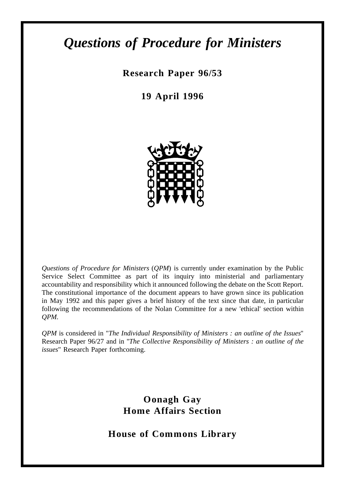# *Questions of Procedure for Ministers*

**Research Paper 96/53**

**19 April 1996**



*Questions of Procedure for Ministers* (*QPM*) is currently under examination by the Public Service Select Committee as part of its inquiry into ministerial and parliamentary accountability and responsibility which it announced following the debate on the Scott Report. The constitutional importance of the document appears to have grown since its publication in May 1992 and this paper gives a brief history of the text since that date, in particular following the recommendations of the Nolan Committee for a new 'ethical' section within *QPM*.

*QPM* is considered in "*The Individual Responsibility of Ministers : an outline of the Issues*" Research Paper 96/27 and in "*The Collective Responsibility of Ministers : an outline of the issues*" Research Paper forthcoming.

> **Oonagh Gay Home Affairs Section**

**House of Commons Library**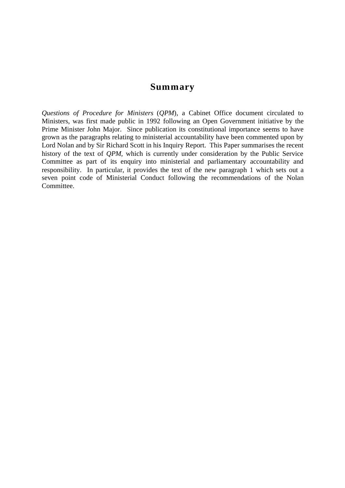### **Summary**

*Questions of Procedure for Ministers* (*QPM*), a Cabinet Office document circulated to Ministers, was first made public in 1992 following an Open Government initiative by the Prime Minister John Major. Since publication its constitutional importance seems to have grown as the paragraphs relating to ministerial accountability have been commented upon by Lord Nolan and by Sir Richard Scott in his Inquiry Report. This Paper summarises the recent history of the text of *QPM*, which is currently under consideration by the Public Service Committee as part of its enquiry into ministerial and parliamentary accountability and responsibility. In particular, it provides the text of the new paragraph 1 which sets out a seven point code of Ministerial Conduct following the recommendations of the Nolan Committee.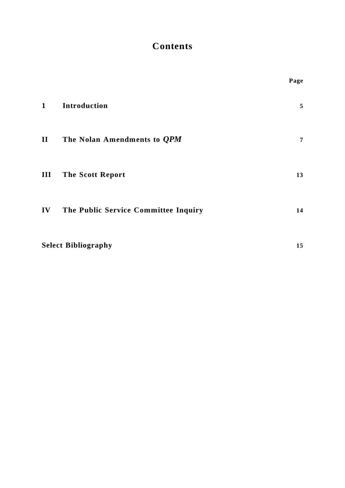# **Contents**

|              |                                      | Page           |
|--------------|--------------------------------------|----------------|
| $\mathbf{1}$ | Introduction                         | 5              |
| $\mathbf{I}$ | The Nolan Amendments to <i>QPM</i>   | $\overline{7}$ |
| III          | <b>The Scott Report</b>              | 13             |
| IV           | The Public Service Committee Inquiry | 14             |
|              | <b>Select Bibliography</b>           | 15             |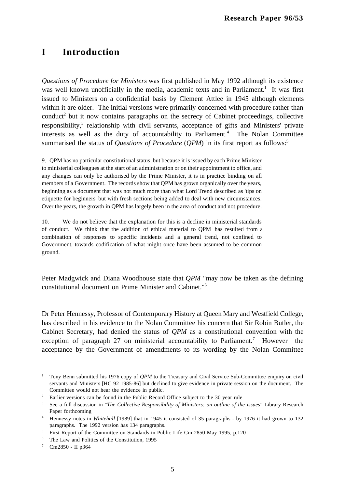# **I Introduction**

*Questions of Procedure for Ministers* was first published in May 1992 although its existence was well known unofficially in the media, academic texts and in Parliament.<sup>1</sup> It was first issued to Ministers on a confidential basis by Clement Attlee in 1945 although elements within it are older. The initial versions were primarily concerned with procedure rather than conduct<sup>2</sup> but it now contains paragraphs on the secrecy of Cabinet proceedings, collective responsibility,<sup>3</sup> relationship with civil servants, acceptance of gifts and Ministers' private interests as well as the duty of accountability to Parliament.<sup>4</sup> The Nolan Committee summarised the status of *Questions of Procedure* (*QPM*) in its first report as follows:<sup>5</sup>

9. QPM has no particular constitutional status, but because it is issued by each Prime Minister to ministerial colleagues at the start of an administration or on their appointment to office, and any changes can only be authorised by the Prime Minister, it is in practice binding on all members of a Government. The records show that QPM has grown organically over the years, beginning as a document that was not much more than what Lord Trend described as 'tips on etiquette for beginners' but with fresh sections being added to deal with new circumstances. Over the years, the growth in QPM has largely been in the area of conduct and not procedure.

10. We do not believe that the explanation for this is a decline in ministerial standards of conduct. We think that the addition of ethical material to QPM has resulted from a combination of responses to specific incidents and a general trend, not confined to Government, towards codification of what might once have been assumed to be common ground.

Peter Madgwick and Diana Woodhouse state that *QPM* "may now be taken as the defining constitutional document on Prime Minister and Cabinet."6

Dr Peter Hennessy, Professor of Contemporary History at Queen Mary and Westfield College, has described in his evidence to the Nolan Committee his concern that Sir Robin Butler, the Cabinet Secretary, had denied the status of *QPM* as a constitutional convention with the exception of paragraph 27 on ministerial accountability to Parliament.<sup>7</sup> However the acceptance by the Government of amendments to its wording by the Nolan Committee

<sup>1</sup> Tony Benn submitted his 1976 copy of *QPM* to the Treasury and Civil Service Sub-Committee enquiry on civil servants and Ministers [HC 92 1985-86] but declined to give evidence in private session on the document. The Committee would not hear the evidence in public.

<sup>&</sup>lt;sup>2</sup> Earlier versions can be found in the Public Record Office subject to the 30 year rule

<sup>3</sup> See a full discussion in "*The Collective Responsibility of Ministers: an outline of the issues*" Library Research

Paper forthcoming<br><sup>4</sup> Hennessy notes in *Whitehall* [1989] that in 1945 it consisted of 35 paragraphs - by 1976 it had grown to 132 paragraphs. The 1992 version has 134 paragraphs.

<sup>5</sup> First Report of the Committee on Standards in Public Life Cm 2850 May 1995, p.120

<sup>&</sup>lt;sup>6</sup> The Law and Politics of the Constitution, 1995<br>  $\frac{7}{1}$  Cm2850 - II n364

Cm2850 - II p364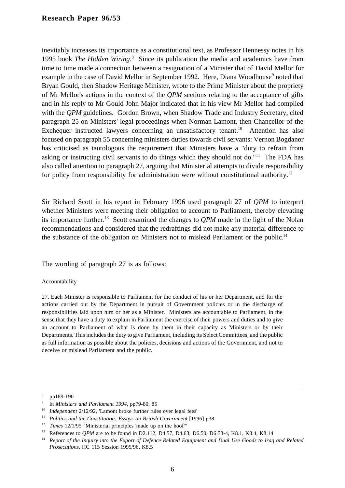inevitably increases its importance as a constitutional text, as Professor Hennessy notes in his 1995 book *The Hidden Wiring*.<sup>8</sup> Since its publication the media and academics have from time to time made a connection between a resignation of a Minister that of David Mellor for example in the case of David Mellor in September 1992. Here, Diana Woodhouse<sup>9</sup> noted that Bryan Gould, then Shadow Heritage Minister, wrote to the Prime Minister about the propriety of Mr Mellor's actions in the context of the *QPM* sections relating to the acceptance of gifts and in his reply to Mr Gould John Major indicated that in his view Mr Mellor had complied with the *QPM* guidelines. Gordon Brown, when Shadow Trade and Industry Secretary, cited paragraph 25 on Ministers' legal proceedings when Norman Lamont, then Chancellor of the Exchequer instructed lawyers concerning an unsatisfactory tenant.<sup>10</sup> Attention has also focused on paragraph 55 concerning ministers duties towards civil servants: Vernon Bogdanor has criticised as tautologous the requirement that Ministers have a "duty to refrain from asking or instructing civil servants to do things which they should not do."11 The FDA has also called attention to paragraph 27, arguing that Ministerial attempts to divide responsibility for policy from responsibility for administration were without constitutional authority.<sup>12</sup>

Sir Richard Scott in his report in February 1996 used paragraph 27 of *QPM* to interpret whether Ministers were meeting their obligation to account to Parliament, thereby elevating its importance further.13 Scott examined the changes to *QPM* made in the light of the Nolan recommendations and considered that the redraftings did not make any material difference to the substance of the obligation on Ministers not to mislead Parliament or the public.<sup>14</sup>

The wording of paragraph 27 is as follows:

#### Accountability

27. Each Minister is responsible to Parliament for the conduct of his or her Department, and for the actions carried out by the Department in pursuit of Government policies or in the discharge of responsibilities laid upon him or her as a Minister. Ministers are accountable to Parliament, in the sense that they have a duty to explain in Parliament the exercise of their powers and duties and to give an account to Parliament of what is done by them in their capacity as Ministers or by their Departments. This includes the duty to give Parliament, including its Select Committees, and the public as full information as possible about the policies, decisions and actions of the Government, and not to deceive or mislead Parliament and the public.

 $\frac{8}{9}$  pp189-190

<sup>9</sup> in *Ministers and Parliament 1994*, pp79-80, 85

<sup>&</sup>lt;sup>10</sup> *Independent* 2/12/92, 'Lamont broke further rules over legal fees'

<sup>&</sup>lt;sup>11</sup> *Politics and the Constitution: Essays on British Government* [1996] p38

<sup>12</sup> *Times* 12/1/95 "Ministerial principles 'made up on the hoof'"

<sup>13</sup> References to *QPM* are to be found in D2.112, D4.57, D4.63, D6.50, D6.53-4, K8.1, K8.4, K8.14

<sup>14</sup> *Report of the Inquiry into the Export of Defence Related Equipment and Dual Use Goods to Iraq and Related Prosecutions*, HC 115 Session 1995/96, K8.5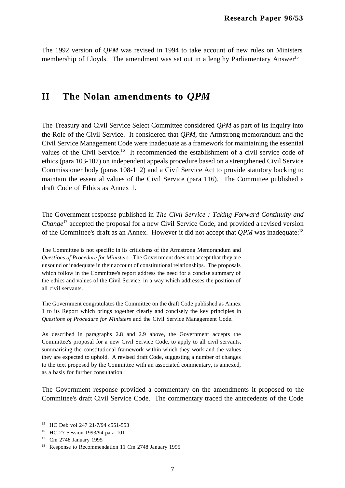The 1992 version of *QPM* was revised in 1994 to take account of new rules on Ministers' membership of Lloyds. The amendment was set out in a lengthy Parliamentary Answer<sup>15</sup>

# **II The Nolan amendments to** *QPM*

The Treasury and Civil Service Select Committee considered *QPM* as part of its inquiry into the Role of the Civil Service. It considered that *QPM*, the Armstrong memorandum and the Civil Service Management Code were inadequate as a framework for maintaining the essential values of the Civil Service.<sup>16</sup> It recommended the establishment of a civil service code of ethics (para 103-107) on independent appeals procedure based on a strengthened Civil Service Commissioner body (paras 108-112) and a Civil Service Act to provide statutory backing to maintain the essential values of the Civil Service (para 116). The Committee published a draft Code of Ethics as Annex 1.

The Government response published in *The Civil Service : Taking Forward Continuity and Change*17 accepted the proposal for a new Civil Service Code, and provided a revised version of the Committee's draft as an Annex. However it did not accept that *QPM* was inadequate:18

The Committee is not specific in its criticisms of the Armstrong Memorandum and *Questions of Procedure for Ministers.* The Government does not accept that they are unsound or inadequate in their account of constitutional relationships. The proposals which follow in the Committee's report address the need for a concise summary of the ethics and values of the Civil Service, in a way which addresses the position of all civil servants.

The Government congratulates the Committee on the draft Code published as Annex 1 to its Report which brings together clearly and concisely the key principles in *Questions of Procedure for Ministers* and the Civil Service Management Code.

As described in paragraphs 2.8 and 2.9 above, the Government accepts the Committee's proposal for a new Civil Service Code, to apply to all civil servants, summarising the constitutional framework within which they work and the values they are expected to uphold. A revised draft Code, suggesting a number of changes to the text proposed by the Committee with an associated commentary, is annexed, as a basis for further consultation.

The Government response provided a commentary on the amendments it proposed to the Committee's draft Civil Service Code. The commentary traced the antecedents of the Code

<sup>&</sup>lt;sup>15</sup> HC Deb vol 247 21/7/94 c551-553

<sup>&</sup>lt;sup>16</sup> HC 27 Session 1993/94 para 101

<sup>17</sup> Cm 2748 January 1995

<sup>&</sup>lt;sup>18</sup> Response to Recommendation 11 Cm 2748 January 1995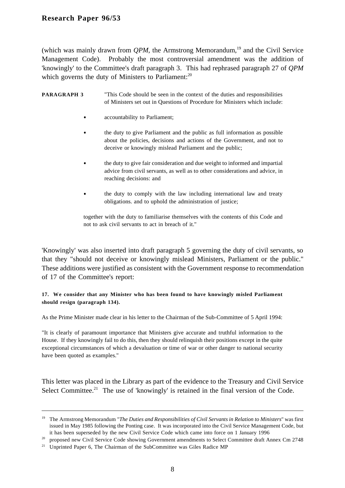(which was mainly drawn from  $OPM$ , the Armstrong Memorandum,<sup>19</sup> and the Civil Service Management Code). Probably the most controversial amendment was the addition of 'knowingly' to the Committee's draft paragraph 3. This had rephrased paragraph 27 of *QPM* which governs the duty of Ministers to Parliament:<sup>20</sup>

#### **PARAGRAPH 3** "This Code should be seen in the context of the duties and responsibilities of Ministers set out in Questions of Procedure for Ministers which include:

- accountability to Parliament;
- the duty to give Parliament and the public as full information as possible about the policies, decisions and actions of the Government, and not to deceive or knowingly mislead Parliament and the public;
- the duty to give fair consideration and due weight to informed and impartial advice from civil servants, as well as to other considerations and advice, in reaching decisions: and
- the duty to comply with the law including international law and treaty obligations. and to uphold the administration of justice;

together with the duty to familiarise themselves with the contents of this Code and not to ask civil servants to act in breach of it."

'Knowingly' was also inserted into draft paragraph 5 governing the duty of civil servants, so that they "should not deceive or knowingly mislead Ministers, Parliament or the public." These additions were justified as consistent with the Government response to recommendation of 17 of the Committee's report:

#### **17. We consider that any Minister who has been found to have knowingly misled Parliament should resign (paragraph 134).**

As the Prime Minister made clear in his letter to the Chairman of the Sub-Committee of 5 April 1994:

"It is clearly of paramount importance that Ministers give accurate and truthful information to the House. If they knowingly fail to do this, then they should relinquish their positions except in the quite exceptional circumstances of which a devaluation or time of war or other danger to national security have been quoted as examples."

This letter was placed in the Library as part of the evidence to the Treasury and Civil Service Select Committee.<sup>21</sup> The use of 'knowingly' is retained in the final version of the Code.

<sup>19</sup> The Armstrong Memorandum "*The Duties and Responsibilities of Civil Servants in Relation to Ministers*" was first issued in May 1985 following the Ponting case. It was incorporated into the Civil Service Management Code, but it has been superseded by the new Civil Service Code which came into force on 1 January 1996

<sup>20</sup> proposed new Civil Service Code showing Government amendments to Select Committee draft Annex Cm 2748

<sup>&</sup>lt;sup>21</sup> Unprinted Paper 6, The Chairman of the SubCommittee was Giles Radice MP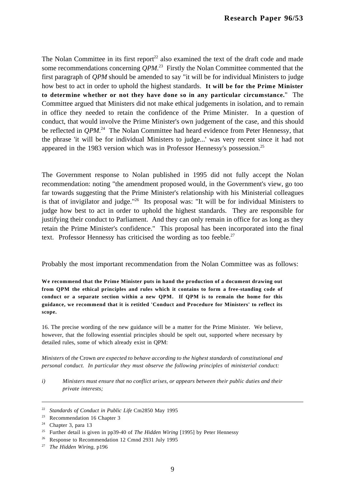The Nolan Committee in its first report<sup>22</sup> also examined the text of the draft code and made some recommendations concerning  $QPM$ .<sup>23</sup> Firstly the Nolan Committee commented that the first paragraph of *QPM* should be amended to say "it will be for individual Ministers to judge how best to act in order to uphold the highest standards. **It will be for the Prime Minister to determine whether or not they have done so in any particular circumstance.**" The Committee argued that Ministers did not make ethical judgements in isolation, and to remain in office they needed to retain the confidence of the Prime Minister. In a question of conduct, that would involve the Prime Minister's own judgement of the case, and this should be reflected in *QPM*.<sup>24</sup> The Nolan Committee had heard evidence from Peter Hennessy, that the phrase 'it will be for individual Ministers to judge...' was very recent since it had not appeared in the 1983 version which was in Professor Hennessy's possession.25

The Government response to Nolan published in 1995 did not fully accept the Nolan recommendation: noting "the amendment proposed would, in the Government's view, go too far towards suggesting that the Prime Minister's relationship with his Ministerial colleagues is that of invigilator and judge."<sup>26</sup> Its proposal was: "It will be for individual Ministers to judge how best to act in order to uphold the highest standards. They are responsible for justifying their conduct to Parliament. And they can only remain in office for as long as they retain the Prime Minister's confidence." This proposal has been incorporated into the final text. Professor Hennessy has criticised the wording as too feeble. $27$ 

Probably the most important recommendation from the Nolan Committee was as follows:

**We recommend that the Prime Minister puts in hand the production of a document drawing out from QPM the ethical principles and rules which it contains to form a free-standing code of conduct or a separate section within a new QPM. If QPM is to remain the home for this guidance, we recommend that it is retitled 'Conduct and Procedure for Ministers' to reflect its scope.**

16. The precise wording of the new guidance will be a matter for the Prime Minister. We believe, however, that the following essential principles should be spelt out, supported where necessary by detailed rules, some of which already exist in QPM:

*Ministers* of *the* Crown *are expected to behave according to the highest standards* of *constitutional and personal conduct. In particular they must observe the following principles* of *ministerial conduct:*

*i) Ministers must ensure that no conflict arises, or appears between their public duties and their private interests;*

<sup>22</sup> *Standards of Conduct in Public Life* Cm2850 May 1995

<sup>23</sup> Recommendation 16 Chapter 3

<sup>&</sup>lt;sup>24</sup> Chapter 3, para 13

<sup>25</sup> Further detail is given in pp39-40 of *The Hidden Wiring* [1995] by Peter Hennessy

<sup>&</sup>lt;sup>26</sup> Response to Recommendation 12 Cmnd 2931 July 1995

<sup>27</sup> *The Hidden Wiring*, p196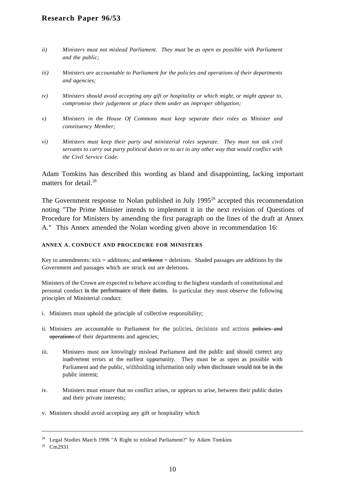- *ii*) Ministers must not mislead Parliament. They must be as open as possible with Parliament *and the public;*
- *iii) Ministers are accountable to Parliament for the policies and operations of their departments and agencies;*
- *iv) Ministers should avoid accepting any gift or hospitality or which might, or might appear to, compromise their judgement or place them under an improper obligation;*
- *v) Ministers in the House Of Commons must keep separate their roles as Minister and constituency Member;*
- *vi) Ministers must keep their party and ministerial roles separate. They must not ask civil servants to carry out party political duties or to act in any other way that would conflict with the Civil Service Code.*

Adam Tomkins has described this wording as bland and disappointing, lacking important matters for detail.<sup>28</sup>

The Government response to Nolan published in July  $1995<sup>29</sup>$  accepted this recommendation noting "The Prime Minister intends to implement it in the next revision of Questions of Procedure for Ministers by amending the first paragraph on the lines of the draft at Annex A." This Annex amended the Nolan wording given above in recommendation 16:

#### **ANNEX A. CONDUCT AND PROCEDURE FOR MINISTERS**

Key to amendments:  $xxxx = additions$ ; and  $\overline{strikeout} = deletions$ . Shaded passages are additions by the Government and passages which are struck out are deletions.

Ministers of the Crown are expected to behave according to the highest standards of constitutional and personal conduct in the performance of their duties. In particular they must observe the following principles of Ministerial conduct:

- i. Ministers must uphold the principle of collective responsibility;
- ii. Ministers are accountable to Parliament for the policies, decisions and actions policies and operations of their departments and agencies;
- iii. Ministers must not knowingly mislead Parliament and the public and should correct any inadvertent errors at the earliest opportunity. They must be as open as possible with Parliament and the public, withholding information only when disclosure would not be in the public interest;
- iv. Ministers must ensure that no conflict arises, or appears to arise, between their public duties and their private interests;
- v. Ministers should avoid accepting any gift or hospitality which

<sup>&</sup>lt;sup>28</sup> Legal Studies March 1996 "A Right to mislead Parliament?" by Adam Tomkins

<sup>29</sup> Cm2931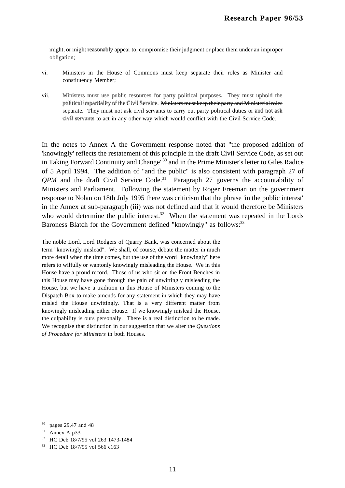might, or might reasonably appear to, compromise their judgment or place them under an improper obligation;

- vi. Ministers in the House of Commons must keep separate their roles as Minister and constituency Member;
- vii. Ministers must use public resources for party political purposes. They must uphold the political impartiality of the Civil Service. Ministers must keep their party and Ministerial roles separate. They must not ask civil servants to carry out party political duties or and not ask civil servants to act in any other way which would conflict with the Civil Service Code.

In the notes to Annex A the Government response noted that "the proposed addition of 'knowingly' reflects the restatement of this principle in the draft Civil Service Code, as set out in Taking Forward Continuity and Change"30 and in the Prime Minister's letter to Giles Radice of 5 April 1994. The addition of "and the public" is also consistent with paragraph 27 of  $OPM$  and the draft Civil Service Code.<sup>31</sup> Paragraph 27 governs the accountability of Ministers and Parliament. Following the statement by Roger Freeman on the government response to Nolan on 18th July 1995 there was criticism that the phrase 'in the public interest' in the Annex at sub-paragraph (iii) was not defined and that it would therefore be Ministers who would determine the public interest.<sup>32</sup> When the statement was repeated in the Lords Baroness Blatch for the Government defined "knowingly" as follows:<sup>33</sup>

The noble Lord, Lord Rodgers of Quarry Bank, was concerned about the term "knowingly mislead". We shall, of course, debate the matter in much more detail when the time comes, but the use of the word "knowingly" here refers to wilfully or wantonly knowingly misleading the House. We in this House have a proud record. Those of us who sit on the Front Benches in this House may have gone through the pain of unwittingly misleading the House, but we have a tradition in this House of Ministers coming to the Dispatch Box to make amends for any statement in which they may have misled the House unwittingly. That is a very different matter from knowingly misleading either House. If we knowingly mislead the House, the culpability is ours personally. There is a real distinction to be made. We recognise that distinction in our suggestion that we alter the *Questions of Procedure for Ministers* in both Houses.

<sup>30</sup> pages 29,47 and 48

 $31$  Annex A p33

<sup>32</sup> HC Deb 18/7/95 vol 263 1473-1484

<sup>33</sup> HC Deb 18/7/95 vol 566 c163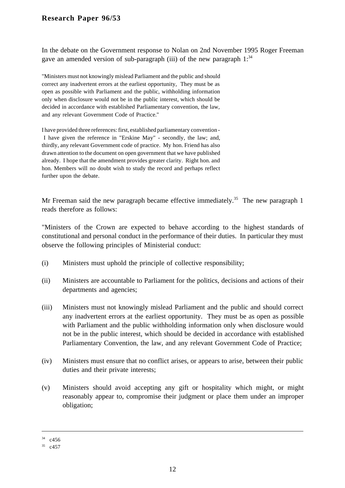In the debate on the Government response to Nolan on 2nd November 1995 Roger Freeman gave an amended version of sub-paragraph (iii) of the new paragraph  $1:34$ 

"Ministers must not knowingly mislead Parliament and the public and should correct any inadvertent errors at the earliest opportunity, They must be as open as possible with Parliament and the public, withholding information only when disclosure would not be in the public interest, which should be decided in accordance with established Parliamentary convention, the law, and any relevant Government Code of Practice."

I have provided three references: first, established parliamentary convention - I have given the reference in "Erskine May" - secondly, the law; and, thirdly, any relevant Government code of practice. My hon. Friend has also drawn attention to the document on open government that we have published already. I hope that the amendment provides greater clarity. Right hon. and hon. Members will no doubt wish to study the record and perhaps reflect further upon the debate.

Mr Freeman said the new paragraph became effective immediately.<sup>35</sup> The new paragraph 1 reads therefore as follows:

"Ministers of the Crown are expected to behave according to the highest standards of constitutional and personal conduct in the performance of their duties. In particular they must observe the following principles of Ministerial conduct:

- (i) Ministers must uphold the principle of collective responsibility;
- (ii) Ministers are accountable to Parliament for the politics, decisions and actions of their departments and agencies;
- (iii) Ministers must not knowingly mislead Parliament and the public and should correct any inadvertent errors at the earliest opportunity. They must be as open as possible with Parliament and the public withholding information only when disclosure would not be in the public interest, which should be decided in accordance with established Parliamentary Convention, the law, and any relevant Government Code of Practice;
- (iv) Ministers must ensure that no conflict arises, or appears to arise, between their public duties and their private interests;
- (v) Ministers should avoid accepting any gift or hospitality which might, or might reasonably appear to, compromise their judgment or place them under an improper obligation;

 $34$  c456

<sup>35</sup> c457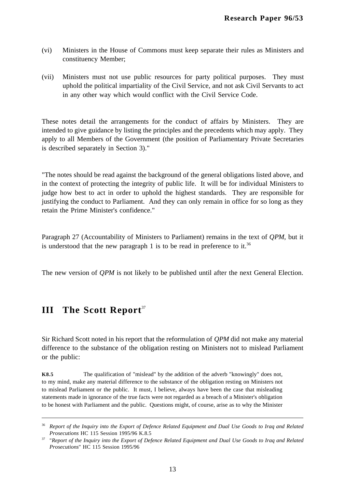- (vi) Ministers in the House of Commons must keep separate their rules as Ministers and constituency Member;
- (vii) Ministers must not use public resources for party political purposes. They must uphold the political impartiality of the Civil Service, and not ask Civil Servants to act in any other way which would conflict with the Civil Service Code.

These notes detail the arrangements for the conduct of affairs by Ministers. They are intended to give guidance by listing the principles and the precedents which may apply. They apply to all Members of the Government (the position of Parliamentary Private Secretaries is described separately in Section 3)."

"The notes should be read against the background of the general obligations listed above, and in the context of protecting the integrity of public life. It will be for individual Ministers to judge how best to act in order to uphold the highest standards. They are responsible for justifying the conduct to Parliament. And they can only remain in office for so long as they retain the Prime Minister's confidence."

Paragraph 27 (Accountability of Ministers to Parliament) remains in the text of *QPM*, but it is understood that the new paragraph 1 is to be read in preference to it.<sup>36</sup>

The new version of *QPM* is not likely to be published until after the next General Election.

### **III** The Scott Report<sup>37</sup>

 $\overline{a}$ 

Sir Richard Scott noted in his report that the reformulation of *QPM* did not make any material difference to the substance of the obligation resting on Ministers not to mislead Parliament or the public:

**K8.5** The qualification of "mislead" by the addition of the adverb "knowingly" does not, to my mind, make any material difference to the substance of the obligation resting on Ministers not to mislead Parliament or the public. It must, I believe, always have been the case that misleading statements made in ignorance of the true facts were not regarded as a breach of a Minister's obligation to be honest with Parliament and the public. Questions might, of course, arise as to why the Minister

<sup>36</sup> *Report of the Inquiry into the Export of Defence Related Equipment and Dual Use Goods to Iraq and Related Prosecutions* HC 115 Session 1995/96 K.8.5

<sup>37</sup> "*Report of the Inquiry into the Export of Defence Related Equipment and Dual Use Goods to Iraq and Related Prosecutions*" HC 115 Session 1995/96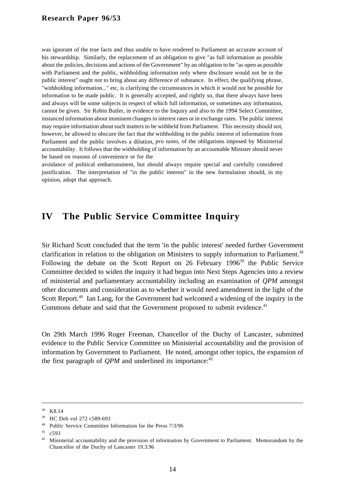was ignorant of the true facts and thus unable to have rendered to Parliament an accurate account of his stewardship. Similarly, the replacement of an obligation to give "as full information as possible about the policies, decisions and actions of the Government" by an obligation to be "as open as possible with Parliament and the public, withholding information only where disclosure would not be in the public interest" ought not to bring about any difference of substance. In effect, the qualifying phrase, "withholding information..." etc, is clarifying the circumstances in which it would not be possible for information to be made public. It is generally accepted, and rightly so, that there always have been and always will be some subjects in respect of which full information, or sometimes any information, cannot be given. Sir Robin Butler, in evidence to the Inquiry and also to the 1994 Select Committee, instanced information about imminent changes in interest rates or in exchange rates. The public interest may require information about such matters to be withheld from Parliament. This necessity should not, however, be allowed to obscure the fact that the withholding in the public interest of information from Parliament and the public involves a dilution, *pro tanto,* of the obligations imposed by Ministerial accountability. It follows that the withholding of information by an accountable Minister should never be based on reasons of convenience or for the

avoidance of political embarrassment, but should always require special and carefully considered justification. The interpretation of "in the public interest" in the new formulation should, in my opinion, adopt that approach.

### **IV The Public Service Committee Inquiry**

Sir Richard Scott concluded that the term 'in the public interest' needed further Government clarification in relation to the obligation on Ministers to supply information to Parliament.<sup>38</sup> Following the debate on the Scott Report on 26 February 1996<sup>39</sup> the Public Service Committee decided to widen the inquiry it had begun into Next Steps Agencies into a review of ministerial and parliamentary accountability including an examination of *QPM* amongst other documents and consideration as to whether it would need amendment in the light of the Scott Report.<sup>40</sup> Ian Lang, for the Government had welcomed a widening of the inquiry in the Commons debate and said that the Government proposed to submit evidence.<sup>41</sup>

On 29th March 1996 Roger Freeman, Chancellor of the Duchy of Lancaster, submitted evidence to the Public Service Committee on Ministerial accountability and the provision of information by Government to Parliament. He noted, amongst other topics, the expansion of the first paragraph of  $OPM$  and underlined its importance:<sup>42</sup>

<sup>38</sup> K8.14

<sup>39</sup> HC Deb vol 272 c589-693

<sup>40</sup> Public Service Committee Information for the Press 7/3/96

 $41$  c593

<sup>&</sup>lt;sup>42</sup> Ministerial accountability and the provision of information by Government to Parliament. Memorandum by the Chancellor of the Duchy of Lancaster 19.3.96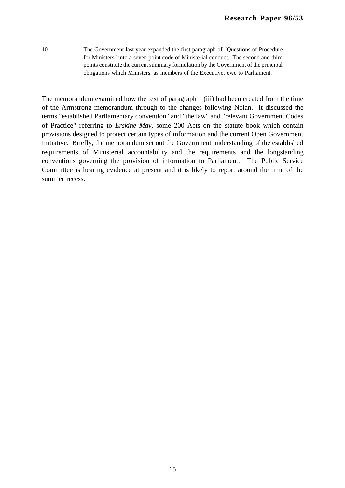10. The Government last year expanded the first paragraph of "Questions of Procedure for Ministers" into a seven point code of Ministerial conduct. The second and third points constitute the current summary formulation by the Government of the principal obligations which Ministers, as members of the Executive, owe to Parliament.

The memorandum examined how the text of paragraph 1 (iii) had been created from the time of the Armstrong memorandum through to the changes following Nolan. It discussed the terms "established Parliamentary convention" and "the law" and "relevant Government Codes of Practice" referring to *Erskine May*, some 200 Acts on the statute book which contain provisions designed to protect certain types of information and the current Open Government Initiative. Briefly, the memorandum set out the Government understanding of the established requirements of Ministerial accountability and the requirements and the longstanding conventions governing the provision of information to Parliament. The Public Service Committee is hearing evidence at present and it is likely to report around the time of the summer recess.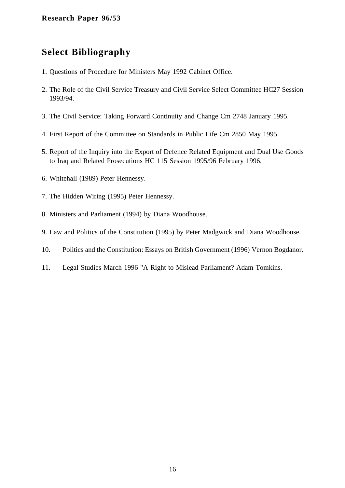# **Select Bibliography**

- 1. Questions of Procedure for Ministers May 1992 Cabinet Office.
- 2. The Role of the Civil Service Treasury and Civil Service Select Committee HC27 Session 1993/94.
- 3. The Civil Service: Taking Forward Continuity and Change Cm 2748 January 1995.
- 4. First Report of the Committee on Standards in Public Life Cm 2850 May 1995.
- 5. Report of the Inquiry into the Export of Defence Related Equipment and Dual Use Goods to Iraq and Related Prosecutions HC 115 Session 1995/96 February 1996.
- 6. Whitehall (1989) Peter Hennessy.
- 7. The Hidden Wiring (1995) Peter Hennessy.
- 8. Ministers and Parliament (1994) by Diana Woodhouse.
- 9. Law and Politics of the Constitution (1995) by Peter Madgwick and Diana Woodhouse.
- 10. Politics and the Constitution: Essays on British Government (1996) Vernon Bogdanor.
- 11. Legal Studies March 1996 "A Right to Mislead Parliament? Adam Tomkins.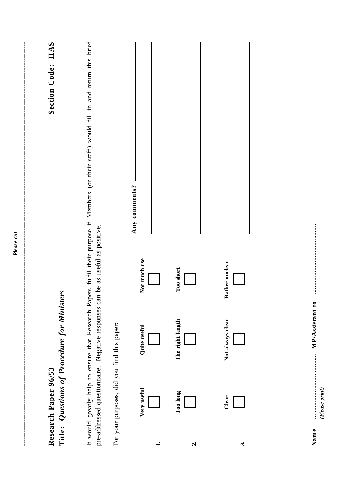| HAS<br>Section Code:                        | It would greatly help to ensure that Research Papers fulfil their purpose if Members (or their staff) would fill in and return this brief | Any comments? |                  |                  |  |
|---------------------------------------------|-------------------------------------------------------------------------------------------------------------------------------------------|---------------|------------------|------------------|--|
|                                             | pre-addressed questionnaire. Negative responses can be as useful as positive.                                                             | Not much use  | Too short        | Rather unclear   |  |
| Title: Questions of Procedure for Ministers |                                                                                                                                           | Quite useful  | The right length | Not always clear |  |
| Research Paper 96/53                        | For your purposes, did you find this paper:                                                                                               | Very useful   | Too long         | Clear            |  |
|                                             |                                                                                                                                           |               | $\mathbf{a}$     | $\ddot{ }$       |  |

 $\label{eq:1} \textit{MPA}\textit{ss} \textit{is} \textit{t} \textit{a} \textit{t} \textit{t} \textit{a} \textit{t} \textit{t} \textit{a} \textit{t} \textit{t} \textit{t} \textit{t} \textit{t} \textit{t} \textit{t} \textit{t} \textit{t} \textit{t} \textit{t} \textit{t} \textit{t} \textit{t} \textit{t} \textit{t} \textit{t} \textit{t} \textit{t} \textit{t} \textit{t} \textit{t} \textit{t} \textit{t} \textit$ **Name ....................................... MP/Assistant to ..........................................** Name

*(Please print)*

-----------------------------------------------------------------------------------------------------------------------------------------------------------------------------

 $\frac{1}{2}$ ł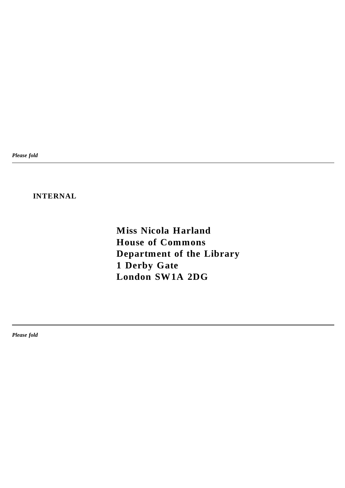*Please fold*

### **INTERNAL**

**Miss Nicola Harland House of Commons Department of the Library 1 Derby Gate London SW1A 2DG**

*Please fold*